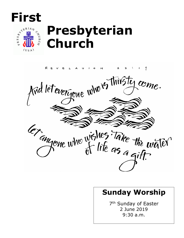



# **Presbyterian Church**



# **Sunday Worship**

7<sup>th</sup> Sunday of Easter 2 June 2019 9:30 a.m.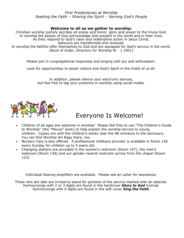*First Presbyterian at Worship Seeking the Faith – Sharing the Spirit – Serving God's People*

### **Welcome to all as we gather to worship.**

Christian worship joyfully ascribes all praise and honor, glory and power to the triune God. In worship the people of God acknowledge God present in the world and in their lives. As they respond to God's claim and redemptive action in Jesus Christ, believers are transformed and renewed. In worship the faithful offer themselves to God and are equipped for God's service in the world. (Book of Order, Directory for Worship W - 1.1001)

Please join in congregational responses and singing with joy and enthusiasm.

Look for opportunities to assist visitors and God's Spirit in the midst of us all.

In addition, please silence your electronic devices, but feel free to tag your presence in worship using social media.



## Everyone Is Welcome!

- Children of all ages are welcome in worship! Please feel free to use "The Children's Guide to Worship" (the "Mouse" book) to help explain the worship service to young children. Copies are with the children's books near the NE entrance to the sanctuary. You can find Worship Art Bags there, too.
- Nursery Care is also offered. A professional childcare provider is available in Room 128 every Sunday for children up to 5 years old.
- Changing stations are provided in the women's restroom (Room 147), the men's restroom (Room 148) and our gender-neutral restroom across from the chapel (Room 123)

Individual hearing amplifiers are available. Please see an usher for assistance.

Those who are able are invited to stand for portions of the service marked with an asterisk. Hymns/songs with 2 or 3 digits are found in the hardcover *Glory to God* hymnal. Hymns/songs with 4 digits are found in the soft cover *Sing the Faith*.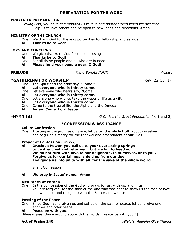### **PREPARATION FOR THE WORD**

#### **PRAYER IN PREPARATION**

*Loving God*, *you have commanded us to love one another even when we disagree*. Help us to love others and be open to new ideas and directions. Amen

#### **MINISTRY OF THE CHURCH**

- One: We thank God for these opportunities for fellowship and service.
- **All: Thanks be to God!**

#### **JOYS AND CONCERNS**

- One: We give thanks to God for these blessings.
- **All: Thanks be to God!**
- One: For all these people and all who are in need
- **All: Please hold your people near, O God!**

**PRELUDE** *Piano Sonata IXP.T.* Mozart

#### **\*GATHERING FOR WORSHIP Rev. 22:13, 17**

One: The Spirit and the bride say, "Come."

- **All: Let everyone who is thirsty come.**
- One: Let everyone who hears say, "Come."
- **All: Let everyone who is thirsty come.**
- One: Let anyone who wishes take the water of life as a gift.
- **All: Let everyone who is thirsty come.**
- One: Come to the tree of life, the Alpha and the Omega.
- **All: Amen. Come, Lord Jesus.**

**\*HYMN 361** *O Christ, the Great Foundation* (v. 1 and 2)

### **\*CONFESSION & ASSURANCE**

#### **Call to Confession**

One: Trusting in the promise of grace, let us tell the whole truth about ourselves and beg God's mercy for the renewal and amendment of our lives.

#### **Prayer of Confession** (Unison)

**All: Gracious Power, you call us to your everlasting springs to be drenched and reformed, but we fail to heed you. We do not turn with love to our neighbors, to ourselves, or to you. Forgive us for our failings, shield us from our due, and guide us into unity with all for the sake of the whole world.**

Silent Confession

#### **All: We pray in Jesus' name. Amen**

#### **Assurance of Pardon**

One: In the compassion of the God who prays for us, with us, and in us, you are forgiven, for the sake of the one who was sent to show us the face of love and who died and rose, one with the Father and with us.

#### **Passing of the Peace**

One: Since God has forgiven us and set us on the path of peace, let us forgive one another and offer peace.

#### **All: Peace be with you.**

[Please greet those around you with the words, "Peace be with you."]

**Act of Praise 240** *Alleluia, Alleluia! Give Thanks*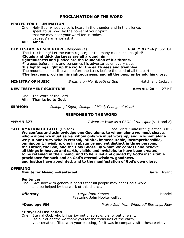### **PROCLAMATION OF THE WORD**

#### **PRAYER FOR ILLUMINATION**

One: Holy God, whose voice is heard in the thunder and in the silence, speak to us now, by the power of your Spirit, that we may hear your word for us today. In Jesus' name we ask it.

#### **All: Amen.**

#### **OLD TESTAMENT SCRIPTURE** (Responsive) **PSALM 97:1-6** p. 551 OT

<sup>1</sup>The LORD is king! Let the earth rejoice; let the many coastlands be glad! **<sup>2</sup>Clouds and thick darkness are all around him;** 

**righteousness and justice are the foundation of his throne.**

<sup>3</sup>Fire goes before him, and consumes his adversaries on every side.

**<sup>4</sup>His lightnings light up the world; the earth sees and trembles.**

<sup>5</sup>The mountains melt like wax before the LORD, before the Lord of all the earth.

**<sup>6</sup>The heavens proclaim his righteousness; and all the peoples behold his glory.**

**MINISTRY OF MUSIC** *Breathe on Me, Breath of God* Hatch and Jackson

#### **NEW TESTAMENT SCRIPTURE Acts 9:1-20** p. 127 NT

One: The Word of the Lord.

**All: Thanks be to God.**

**SERMON:** *Change pf Sight, Change of Mind, Change of Heart*

### **RESPONSE TO THE WORD**

**\*HYMN 377** *I Want to Walk as a Child of the Light* (v. 1 and 2)

#### **\*AFFIRMATION OF FAITH** (Unison) *The Scots Confession* (Section 3.01)

**We confess and acknowledge one God alone, to whom alone we must cleave, whom alone we must serve, whom only we must worship, and in whom alone we put our trust. Who is eternal, infinite, immeasurable, incomprehensible, omnipotent, invisible; one in substance and yet distinct in three persons, the Father, the Son, and the Holy Ghost. By whom we confess and believe all things in heaven and earth, visible and invisible, to have been created, to be retained in their being, and to be ruled and guided by God's inscrutable providence for such end as God's eternal wisdom, goodness, and justice have appointed, and to the manifestation of God's own glory.** 

#### **OFFERING**

**Minute for Mission-Pentecost** Darrell Bryant

#### **Sentences**

One: Give now with generous hearts that all people may hear God's Word and be helped by the work of this church.

**Offertory** *Largo from Xerxes Landel* Featuring John Hooker cellist

**\*Doxology** *6***06** *Praise God, from Whom All Blessings Flow*

#### **\*Prayer of Dedication**

One: Eternal God, who brings joy out of sorrow, plenty out of want, life out of death: we thank you for the treasures of the earth, your creation, filled with your blessing, for it was in company with these earthly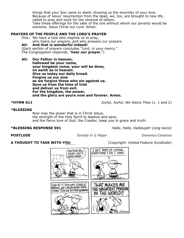things that your Son came to dwell, showing us the enormity of your love. Because of Jesus' resurrection from the dead, we, too, are brought to new life, called to pray and work for the renewal of others. Take these offerings for the sake of the one without whom our poverty would be extreme, Jesus Christ our Lord. Amen.

### **PRAYERS OF THE PEOPLE AND THE LORD'S PRAYER**

One: We have a God who inspires us to pray,

who hears our prayers, and who answers our prayers.

#### **All: And that is wonderful indeed!**

(Each section of prayers concludes "Lord, in your mercy."

The Congregation responds, "**hear our prayer.**")

**All: Our Father in heaven,**

**hallowed be your name, your kingdom come, your will be done, on earth as in heaven. Give us today our daily bread. Forgive us our sins as we forgive those who sin against us. Save us from the time of trial and deliver us from evil. For the kingdom, the power, and the glory are yours now and forever. Amen.**

**\*HYMN 611** *Joyful, Joyful, We Adore Thee* (v. 1 and 2*)*

#### **\*BLESSING**

Now may the power that is in Christ Jesus, the strength of the Holy Spirit to baptize and save, and the fierce love of God, the Creator, keep you in grace and truth.

**\*BLESSING RESPONSE 591** *Halle, Halle, Hallelujah! (sing twice)*

**POSTLUDE** *Sonata in G Major* **Domenico Cimarosa** 

**A THOUGHT TO TAKE WITH YOU** (Copyright: United Feature Syndicate)

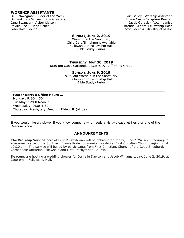#### **WORSHIP ASSISTANTS**

Bill Schwegman– Elder of the Week Sue Bailey– Worship Assistant Bill and Judy Schwegman– Greeters **Diane Cash– Scripture Reader** Diane Cash– Scripture Reader Jane Swanson- Visitor Liaison Jacob Gorecki– Accompanist Phyllis Beck– Head Usher Brenda Gilbert- Fellowship Host John Holt– Sound Jacob Gorecki- Ministry of Music

#### **SUNDAY, JUNE 2, 2019**

Worship in the Sanctuary Child Care/Enrichment Available Fellowship in Fellowship Hall Bible Study–Parlor

#### **THURSDAY, MAY 30, 2019**

6:30 pm Oasis Carbondale LGBTQIA+ Affirming Group

**SUNDAY, JUNE 9, 2019** 9:30 am Worship in the Sanctuary Fellowship in Fellowship Hall Bible Study–Parlor

#### **Pastor Kerry's Office Hours …**

Monday: 9:30-4:30 Tuesday: 12:00 Noon-7:00 Wednesday: 9:30-4:30 Thursday: Presbytery Meeting, Tilden, IL (all day)

If you would like a visit—or if you know someone who needs a visit—please let Kerry or one of the Deacons know.

#### **ANNOUNCEMENTS**

**The Worship Service** here at First Presbyterian will be abbreviated today, June 2. We are encouraging everyone to attend the Southern Illinois Pride community worship at First Christian Church beginning at 10:30 am. The service will be led by participants from First Christian, Church of the Good Shepherd, Carbondale Unitarian Fellowship and First Presbyterian Church.

**Deacons** are hosting a wedding shower for Danielle Dawson and Jacob Williams today, June 2, 2019, at 2:00 pm in Fellowship Hall.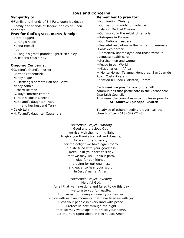### **Joys and Concerns**

### **Sympathy to:**

✣Family and friends of Bill Felts upon his death ✣Family and friends of Jacqueline Scolari upon her death

### **Pray for God's grace, mercy & help:**

✣Bette Baggett ✣C. King's niece ✣Kenna Howell ✣Ray ✣F. Langin's great-granddaughter McKinley ✣D. Ittner's cousin Kay

### **Ongoing Concerns:**

✣D. King's friend's mother ✣Carmen Stonemark ✣Nancy Fligor ✣K. Hertzing's parents Bob and Betsy ✣Nancy Arnold ✣Richard Reiman ✣G. Buys' mother Esther ✣T. Hein's cousin Sherrie ✣N. Foland's daughter Tracy and her husband Terry ✣Caleb Lehr ✢N. Foland's daughter Cassandra

### **Remember to pray for:**

✢Nominating Ministry ✣Our nation in midst of violence ✣ Marion Medical Mission ✣Our world, in the midst of terrorism ✢Refugees in Europe ✢Our National Leaders ✢Peaceful resolution to the migrant dilemma at US/Mexico border ✢Homeless**,** unemployed and those without adequate health care ✢Service men and women ✢Peace in our World ✣Missionaries in Africa ✢ Monte Horeb, Talanga, Honduras, San Juan de Poaz, Costa Rica and Christian & Hindu (Pakistan) Comm.

Each week we pray for one of the faith communities that participate in the Carbondale Interfaith Council. This week the council asks us to please pray for:

#### **St. Andrew Episcopal Church**

To advise of others needing prayer, call the church office: (618) 549-2148

*Household Prayer: Morning* Good and gracious God, we rise with the morning light to give you thanks for rest and dreams, for warmth and safety, for the delight we have again today in a life filled with your goodness. Keep us in your care this day that we may walk in your path, glad for our friends, praying for our enemies, and eager to hear your Word; in Jesus' name. Amen.

*Household Prayer: Evening*  Merciful God, for all that we have done and failed to do this day we turn to you for respite. Forgive us for having shunned your desires; rejoice with us over moments that have filled us with joy. Bless your people in every land with peace. Protect us now through the night that we may wake again to praise your name. Let the Holy Spirit abide in this house. Amen.